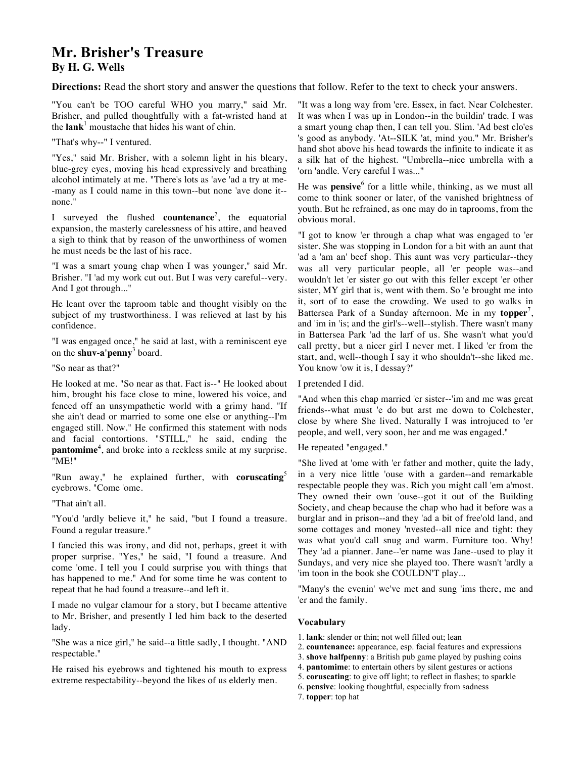# **Mr. Brisher's Treasure By H. G. Wells**

**Directions:** Read the short story and answer the questions that follow. Refer to the text to check your answers.

"You can't be TOO careful WHO you marry," said Mr. Brisher, and pulled thoughtfully with a fat-wristed hand at the  $lank<sup>1</sup>$  moustache that hides his want of chin.

"That's why--" I ventured.

"Yes," said Mr. Brisher, with a solemn light in his bleary, blue-grey eyes, moving his head expressively and breathing alcohol intimately at me. "There's lots as 'ave 'ad a try at me- -many as I could name in this town--but none 'ave done it- none."

I surveyed the flushed **countenance**<sup>2</sup> , the equatorial expansion, the masterly carelessness of his attire, and heaved a sigh to think that by reason of the unworthiness of women he must needs be the last of his race.

"I was a smart young chap when I was younger," said Mr. Brisher. "I 'ad my work cut out. But I was very careful--very. And I got through..."

He leant over the taproom table and thought visibly on the subject of my trustworthiness. I was relieved at last by his confidence.

"I was engaged once," he said at last, with a reminiscent eye on the **shuv-a'penny**<sup>3</sup> board.

"So near as that?"

He looked at me. "So near as that. Fact is--" He looked about him, brought his face close to mine, lowered his voice, and fenced off an unsympathetic world with a grimy hand. "If she ain't dead or married to some one else or anything--I'm engaged still. Now." He confirmed this statement with nods and facial contortions. "STILL," he said, ending the pantomime<sup>4</sup>, and broke into a reckless smile at my surprise. "ME!"

"Run away," he explained further, with **coruscating**" eyebrows. "Come 'ome.

"That ain't all.

"You'd 'ardly believe it," he said, "but I found a treasure. Found a regular treasure."

I fancied this was irony, and did not, perhaps, greet it with proper surprise. "Yes," he said, "I found a treasure. And come 'ome. I tell you I could surprise you with things that has happened to me." And for some time he was content to repeat that he had found a treasure--and left it.

I made no vulgar clamour for a story, but I became attentive to Mr. Brisher, and presently I led him back to the deserted lady.

"She was a nice girl," he said--a little sadly, I thought. "AND respectable."

He raised his eyebrows and tightened his mouth to express extreme respectability--beyond the likes of us elderly men.

"It was a long way from 'ere. Essex, in fact. Near Colchester. It was when I was up in London--in the buildin' trade. I was a smart young chap then, I can tell you. Slim. 'Ad best clo'es 's good as anybody. 'At--SILK 'at, mind you." Mr. Brisher's hand shot above his head towards the infinite to indicate it as a silk hat of the highest. "Umbrella--nice umbrella with a 'orn 'andle. Very careful I was..."

He was **pensive**<sup>6</sup> for a little while, thinking, as we must all come to think sooner or later, of the vanished brightness of youth. But he refrained, as one may do in taprooms, from the obvious moral.

"I got to know 'er through a chap what was engaged to 'er sister. She was stopping in London for a bit with an aunt that 'ad a 'am an' beef shop. This aunt was very particular--they was all very particular people, all 'er people was--and wouldn't let 'er sister go out with this feller except 'er other sister, MY girl that is, went with them. So 'e brought me into it, sort of to ease the crowding. We used to go walks in Battersea Park of a Sunday afternoon. Me in my **topper**<sup>7</sup>, and 'im in 'is; and the girl's--well--stylish. There wasn't many in Battersea Park 'ad the larf of us. She wasn't what you'd call pretty, but a nicer girl I never met. I liked 'er from the start, and, well--though I say it who shouldn't--she liked me. You know 'ow it is, I dessay?"

# I pretended I did.

"And when this chap married 'er sister--'im and me was great friends--what must 'e do but arst me down to Colchester, close by where She lived. Naturally I was introjuced to 'er people, and well, very soon, her and me was engaged."

# He repeated "engaged."

"She lived at 'ome with 'er father and mother, quite the lady, in a very nice little 'ouse with a garden--and remarkable respectable people they was. Rich you might call 'em a'most. They owned their own 'ouse--got it out of the Building Society, and cheap because the chap who had it before was a burglar and in prison--and they 'ad a bit of free'old land, and some cottages and money 'nvested--all nice and tight: they was what you'd call snug and warm. Furniture too. Why! They 'ad a pianner. Jane--'er name was Jane--used to play it Sundays, and very nice she played too. There wasn't 'ardly a 'im toon in the book she COULDN'T play...

"Many's the evenin' we've met and sung 'ims there, me and 'er and the family.

- 1. **lank**: slender or thin; not well filled out; lean
- 2. **countenance:** appearance, esp. facial features and expressions
- 3. **shove halfpenny**: a British pub game played by pushing coins
- 4. **pantomime**: to entertain others by silent gestures or actions
- 5. **coruscating**: to give off light; to reflect in flashes; to sparkle
- 6. **pensive**: looking thoughtful, especially from sadness
- 7. **topper**: top hat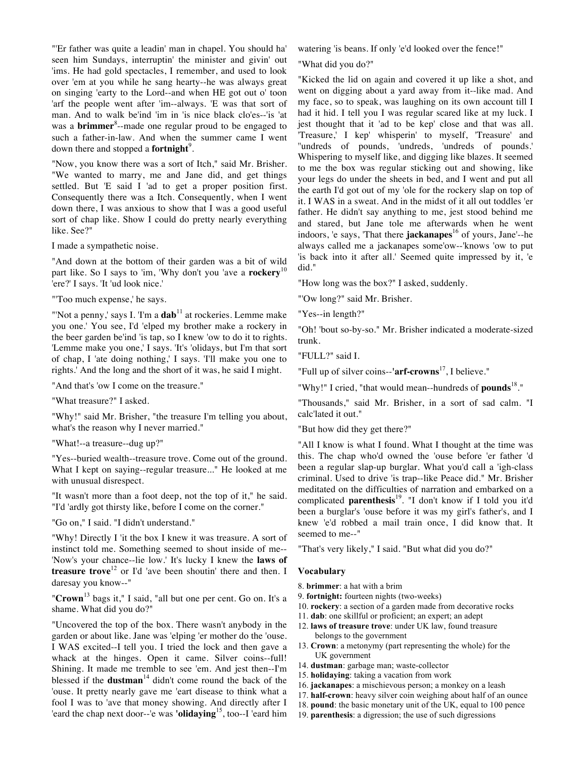"'Er father was quite a leadin' man in chapel. You should ha' seen him Sundays, interruptin' the minister and givin' out 'ims. He had gold spectacles, I remember, and used to look over 'em at you while he sang hearty--he was always great on singing 'earty to the Lord--and when HE got out o' toon 'arf the people went after 'im--always. 'E was that sort of man. And to walk be'ind 'im in 'is nice black clo'es--'is 'at was a **brimmer**<sup>8</sup> --made one regular proud to be engaged to such a father-in-law. And when the summer came I went down there and stopped a **fortnight**<sup>9</sup>.

"Now, you know there was a sort of Itch," said Mr. Brisher. "We wanted to marry, me and Jane did, and get things settled. But 'E said I 'ad to get a proper position first. Consequently there was a Itch. Consequently, when I went down there, I was anxious to show that I was a good useful sort of chap like. Show I could do pretty nearly everything like. See?"

I made a sympathetic noise.

"And down at the bottom of their garden was a bit of wild part like. So I says to 'im, 'Why don't you 'ave a **rockery**<sup>10</sup> 'ere?' I says. 'It 'ud look nice.'

"'Too much expense,' he says.

"'Not a penny,' says I. 'I'm a dab<sup>11</sup> at rockeries. Lemme make you one.' You see, I'd 'elped my brother make a rockery in the beer garden be'ind 'is tap, so I knew 'ow to do it to rights. 'Lemme make you one,' I says. 'It's 'olidays, but I'm that sort of chap, I 'ate doing nothing,' I says. 'I'll make you one to rights.' And the long and the short of it was, he said I might.

"And that's 'ow I come on the treasure."

"What treasure?" I asked.

"Why!" said Mr. Brisher, "the treasure I'm telling you about, what's the reason why I never married."

"What!--a treasure--dug up?"

"Yes--buried wealth--treasure trove. Come out of the ground. What I kept on saying--regular treasure..." He looked at me with unusual disrespect.

"It wasn't more than a foot deep, not the top of it," he said. "I'd 'ardly got thirsty like, before I come on the corner."

"Go on," I said. "I didn't understand."

"Why! Directly I 'it the box I knew it was treasure. A sort of instinct told me. Something seemed to shout inside of me-- 'Now's your chance--lie low.' It's lucky I knew the **laws of treasure trove**<sup>12</sup> or I'd 'ave been shoutin' there and then. I daresay you know--"

"**Crown**<sup>13</sup> bags it," I said, "all but one per cent. Go on. It's a shame. What did you do?"

"Uncovered the top of the box. There wasn't anybody in the garden or about like. Jane was 'elping 'er mother do the 'ouse. I WAS excited--I tell you. I tried the lock and then gave a whack at the hinges. Open it came. Silver coins--full! Shining. It made me tremble to see 'em. And jest then--I'm blessed if the **dustman**<sup>14</sup> didn't come round the back of the 'ouse. It pretty nearly gave me 'eart disease to think what a fool I was to 'ave that money showing. And directly after I 'eard the chap next door--'e was **'olidaying**<sup>15</sup> , too--I 'eard him watering 'is beans. If only 'e'd looked over the fence!"

"What did you do?"

"Kicked the lid on again and covered it up like a shot, and went on digging about a yard away from it--like mad. And my face, so to speak, was laughing on its own account till I had it hid. I tell you I was regular scared like at my luck. I jest thought that it 'ad to be kep' close and that was all. 'Treasure,' I kep' whisperin' to myself, 'Treasure' and ''undreds of pounds, 'undreds, 'undreds of pounds.' Whispering to myself like, and digging like blazes. It seemed to me the box was regular sticking out and showing, like your legs do under the sheets in bed, and I went and put all the earth I'd got out of my 'ole for the rockery slap on top of it. I WAS in a sweat. And in the midst of it all out toddles 'er father. He didn't say anything to me, jest stood behind me and stared, but Jane tole me afterwards when he went indoors, 'e says, 'That there **jackanapes**<sup>16</sup> of yours, Jane'--he always called me a jackanapes some'ow--'knows 'ow to put 'is back into it after all.' Seemed quite impressed by it, 'e did."

"How long was the box?" I asked, suddenly.

"'Ow long?" said Mr. Brisher.

"Yes--in length?"

"Oh! 'bout so-by-so." Mr. Brisher indicated a moderate-sized trunk.

"FULL?" said I.

"Full up of silver coins--**'arf-crowns**<sup>17</sup> , I believe."

"Why!" I cried, "that would mean--hundreds of **pounds**<sup>18</sup>."

"Thousands," said Mr. Brisher, in a sort of sad calm. "I calc'lated it out."

"But how did they get there?"

"All I know is what I found. What I thought at the time was this. The chap who'd owned the 'ouse before 'er father 'd been a regular slap-up burglar. What you'd call a 'igh-class criminal. Used to drive 'is trap--like Peace did." Mr. Brisher meditated on the difficulties of narration and embarked on a complicated **parenthesis**<sup>19</sup> . "I don't know if I told you it'd been a burglar's 'ouse before it was my girl's father's, and I knew 'e'd robbed a mail train once, I did know that. It seemed to me--"

"That's very likely," I said. "But what did you do?"

- 8. **brimmer**: a hat with a brim
- 9. **fortnight:** fourteen nights (two-weeks)
- 10. **rockery**: a section of a garden made from decorative rocks
- 11. **dab**: one skillful or proficient; an expert; an adept
- 12. **laws of treasure trove**: under UK law, found treasure belongs to the government
- 13. **Crown**: a metonymy (part representing the whole) for the UK government
- 14. **dustman**: garbage man; waste-collector
- 15. **holidaying**: taking a vacation from work
- 16. **jackanapes**: a mischievous person; a monkey on a leash
- 17. **half-crown**: heavy silver coin weighing about half of an ounce
- 18. **pound**: the basic monetary unit of the UK, equal to 100 pence
- 19. **parenthesis**: a digression; the use of such digressions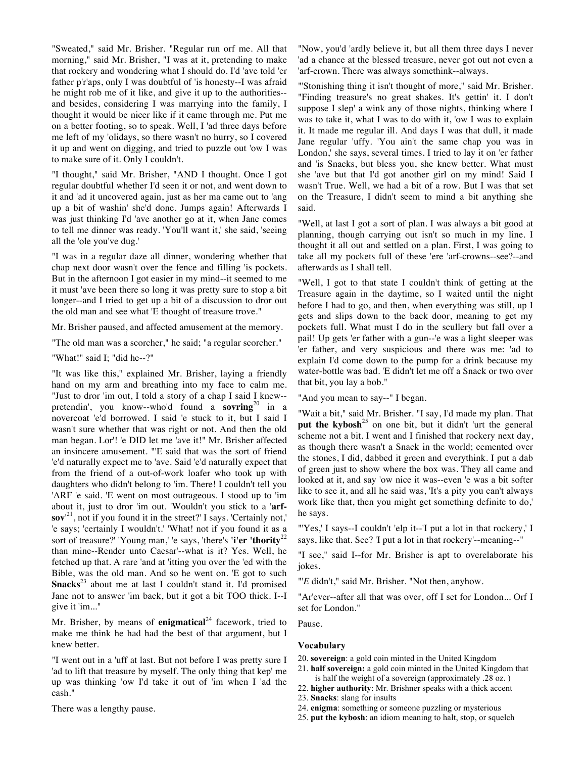"Sweated," said Mr. Brisher. "Regular run orf me. All that morning," said Mr. Brisher, "I was at it, pretending to make that rockery and wondering what I should do. I'd 'ave told 'er father p'r'aps, only I was doubtful of 'is honesty--I was afraid he might rob me of it like, and give it up to the authorities- and besides, considering I was marrying into the family, I thought it would be nicer like if it came through me. Put me on a better footing, so to speak. Well, I 'ad three days before me left of my 'olidays, so there wasn't no hurry, so I covered it up and went on digging, and tried to puzzle out 'ow I was to make sure of it. Only I couldn't.

"I thought," said Mr. Brisher, "AND I thought. Once I got regular doubtful whether I'd seen it or not, and went down to it and 'ad it uncovered again, just as her ma came out to 'ang up a bit of washin' she'd done. Jumps again! Afterwards I was just thinking I'd 'ave another go at it, when Jane comes to tell me dinner was ready. 'You'll want it,' she said, 'seeing all the 'ole you've dug.'

"I was in a regular daze all dinner, wondering whether that chap next door wasn't over the fence and filling 'is pockets. But in the afternoon I got easier in my mind--it seemed to me it must 'ave been there so long it was pretty sure to stop a bit longer--and I tried to get up a bit of a discussion to dror out the old man and see what 'E thought of treasure trove."

Mr. Brisher paused, and affected amusement at the memory.

"The old man was a scorcher," he said; "a regular scorcher."

"What!" said I; "did he--?"

"It was like this," explained Mr. Brisher, laying a friendly hand on my arm and breathing into my face to calm me. "Just to dror 'im out, I told a story of a chap I said I knew- pretendin', you know--who'd found a **sovring**<sup>20</sup> in a novercoat 'e'd borrowed. I said 'e stuck to it, but I said I wasn't sure whether that was right or not. And then the old man began. Lor'! 'e DID let me 'ave it!" Mr. Brisher affected an insincere amusement. "'E said that was the sort of friend 'e'd naturally expect me to 'ave. Said 'e'd naturally expect that from the friend of a out-of-work loafer who took up with daughters who didn't belong to 'im. There! I couldn't tell you 'ARF 'e said. 'E went on most outrageous. I stood up to 'im about it, just to dror 'im out. 'Wouldn't you stick to a '**arfsov**' 21 , not if you found it in the street?' I says. 'Certainly not,' 'e says; 'certainly I wouldn't.' 'What! not if you found it as a sort of treasure?' 'Young man,' 'e says, 'there's **'i'er 'thority**<sup>22</sup> than mine--Render unto Caesar'--what is it? Yes. Well, he fetched up that. A rare 'and at 'itting you over the 'ed with the Bible, was the old man. And so he went on. 'E got to such Snacks<sup>23</sup> about me at last I couldn't stand it. I'd promised Jane not to answer 'im back, but it got a bit TOO thick. I--I give it 'im..."

Mr. Brisher, by means of **enigmatical**<sup>24</sup> facework, tried to make me think he had had the best of that argument, but I knew better.

"I went out in a 'uff at last. But not before I was pretty sure I 'ad to lift that treasure by myself. The only thing that kep' me up was thinking 'ow I'd take it out of 'im when I 'ad the cash."

There was a lengthy pause.

"Now, you'd 'ardly believe it, but all them three days I never 'ad a chance at the blessed treasure, never got out not even a 'arf-crown. There was always somethink--always.

"'Stonishing thing it isn't thought of more," said Mr. Brisher. "Finding treasure's no great shakes. It's gettin' it. I don't suppose I slep' a wink any of those nights, thinking where I was to take it, what I was to do with it, 'ow I was to explain it. It made me regular ill. And days I was that dull, it made Jane regular 'uffy. 'You ain't the same chap you was in London,' she says, several times. I tried to lay it on 'er father and 'is Snacks, but bless you, she knew better. What must she 'ave but that I'd got another girl on my mind! Said I wasn't True. Well, we had a bit of a row. But I was that set on the Treasure, I didn't seem to mind a bit anything she said.

"Well, at last I got a sort of plan. I was always a bit good at planning, though carrying out isn't so much in my line. I thought it all out and settled on a plan. First, I was going to take all my pockets full of these 'ere 'arf-crowns--see?--and afterwards as I shall tell.

"Well, I got to that state I couldn't think of getting at the Treasure again in the daytime, so I waited until the night before I had to go, and then, when everything was still, up I gets and slips down to the back door, meaning to get my pockets full. What must I do in the scullery but fall over a pail! Up gets 'er father with a gun--'e was a light sleeper was 'er father, and very suspicious and there was me: 'ad to explain I'd come down to the pump for a drink because my water-bottle was bad. 'E didn't let me off a Snack or two over that bit, you lay a bob."

"And you mean to say--" I began.

"Wait a bit," said Mr. Brisher. "I say, I'd made my plan. That put the kybosh<sup>25</sup> on one bit, but it didn't 'urt the general scheme not a bit. I went and I finished that rockery next day, as though there wasn't a Snack in the world; cemented over the stones, I did, dabbed it green and everythink. I put a dab of green just to show where the box was. They all came and looked at it, and say 'ow nice it was--even 'e was a bit softer like to see it, and all he said was, 'It's a pity you can't always work like that, then you might get something definite to do,' he says.

"'Yes,' I says--I couldn't 'elp it--'I put a lot in that rockery,' I says, like that. See? 'I put a lot in that rockery'--meaning--"

"I see," said I--for Mr. Brisher is apt to overelaborate his jokes.

"'*E* didn't," said Mr. Brisher. "Not then, anyhow.

"Ar'ever--after all that was over, off I set for London... Orf I set for London."

Pause.

- 20. **sovereign**: a gold coin minted in the United Kingdom
- 21. **half sovereign:** a gold coin minted in the United Kingdom that is half the weight of a sovereign (approximately .28 oz. )
- 22. **higher authority**: Mr. Brishner speaks with a thick accent
- 23. **Snacks**: slang for insults
- 24. **enigma**: something or someone puzzling or mysterious
- 25. **put the kybosh**: an idiom meaning to halt, stop, or squelch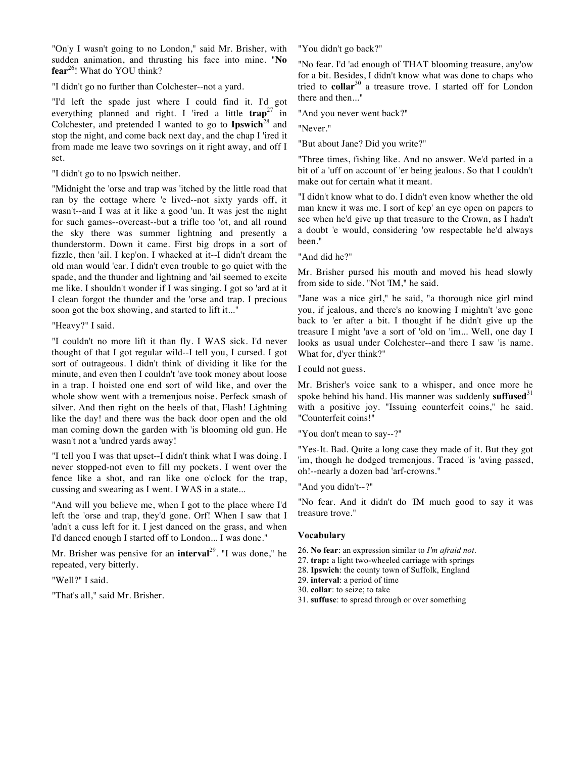"On'y I wasn't going to no London," said Mr. Brisher, with sudden animation, and thrusting his face into mine. "**No fear**<sup>26</sup> ! What do YOU think?

"I didn't go no further than Colchester--not a yard.

"I'd left the spade just where I could find it. I'd got everything planned and right. I 'ired a little **trap**<sup>27</sup> in Colchester, and pretended I wanted to go to **Ipswich**<sup>28</sup> and stop the night, and come back next day, and the chap I 'ired it from made me leave two sovrings on it right away, and off I set.

"I didn't go to no Ipswich neither.

"Midnight the 'orse and trap was 'itched by the little road that ran by the cottage where 'e lived--not sixty yards off, it wasn't--and I was at it like a good 'un. It was jest the night for such games--overcast--but a trifle too 'ot, and all round the sky there was summer lightning and presently a thunderstorm. Down it came. First big drops in a sort of fizzle, then 'ail. I kep'on. I whacked at it--I didn't dream the old man would 'ear. I didn't even trouble to go quiet with the spade, and the thunder and lightning and 'ail seemed to excite me like. I shouldn't wonder if I was singing. I got so 'ard at it I clean forgot the thunder and the 'orse and trap. I precious soon got the box showing, and started to lift it..."

"Heavy?" I said.

"I couldn't no more lift it than fly. I WAS sick. I'd never thought of that I got regular wild--I tell you, I cursed. I got sort of outrageous. I didn't think of dividing it like for the minute, and even then I couldn't 'ave took money about loose in a trap. I hoisted one end sort of wild like, and over the whole show went with a tremenjous noise. Perfeck smash of silver. And then right on the heels of that, Flash! Lightning like the day! and there was the back door open and the old man coming down the garden with 'is blooming old gun. He wasn't not a 'undred yards away!

"I tell you I was that upset--I didn't think what I was doing. I never stopped-not even to fill my pockets. I went over the fence like a shot, and ran like one o'clock for the trap, cussing and swearing as I went. I WAS in a state...

"And will you believe me, when I got to the place where I'd left the 'orse and trap, they'd gone. Orf! When I saw that I 'adn't a cuss left for it. I jest danced on the grass, and when I'd danced enough I started off to London... I was done."

Mr. Brisher was pensive for an **interval**<sup>29</sup>. "I was done," he repeated, very bitterly.

"Well?" I said.

"That's all," said Mr. Brisher.

"You didn't go back?"

"No fear. I'd 'ad enough of THAT blooming treasure, any'ow for a bit. Besides, I didn't know what was done to chaps who tried to **collar**<sup>30</sup> a treasure trove. I started off for London there and then..."

"And you never went back?"

"Never."

"But about Jane? Did you write?"

"Three times, fishing like. And no answer. We'd parted in a bit of a 'uff on account of 'er being jealous. So that I couldn't make out for certain what it meant.

"I didn't know what to do. I didn't even know whether the old man knew it was me. I sort of kep' an eye open on papers to see when he'd give up that treasure to the Crown, as I hadn't a doubt 'e would, considering 'ow respectable he'd always been."

"And did he?"

Mr. Brisher pursed his mouth and moved his head slowly from side to side. "Not 'IM," he said.

"Jane was a nice girl," he said, "a thorough nice girl mind you, if jealous, and there's no knowing I mightn't 'ave gone back to 'er after a bit. I thought if he didn't give up the treasure I might 'ave a sort of 'old on 'im... Well, one day I looks as usual under Colchester--and there I saw 'is name. What for, d'yer think?"

I could not guess.

Mr. Brisher's voice sank to a whisper, and once more he spoke behind his hand. His manner was suddenly **suffused**<sup>31</sup> with a positive joy. "Issuing counterfeit coins," he said. "Counterfeit coins!"

"You don't mean to say--?"

"Yes-It. Bad. Quite a long case they made of it. But they got 'im, though he dodged tremenjous. Traced 'is 'aving passed, oh!--nearly a dozen bad 'arf-crowns."

"And you didn't--?"

"No fear. And it didn't do 'IM much good to say it was treasure trove."

- 26. **No fear**: an expression similar to *I'm afraid not*.
- 27. **trap:** a light two-wheeled carriage with springs
- 28. **Ipswich**: the county town of Suffolk, England
- 29. **interval**: a period of time
- 30. **collar**: to seize; to take
- 31. **suffuse**: to spread through or over something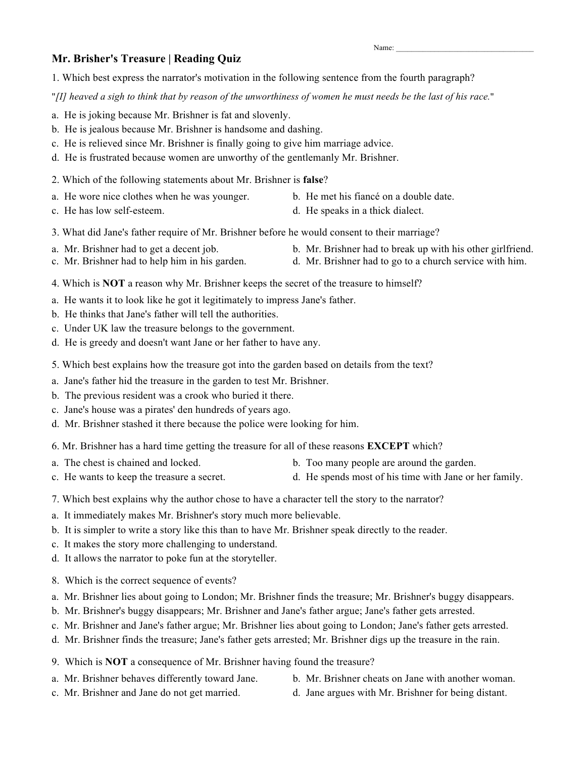#### Name:

# **Mr. Brisher's Treasure | Reading Quiz**

1. Which best express the narrator's motivation in the following sentence from the fourth paragraph?

"*[I] heaved a sigh to think that by reason of the unworthiness of women he must needs be the last of his race.*"

- a. He is joking because Mr. Brishner is fat and slovenly.
- b. He is jealous because Mr. Brishner is handsome and dashing.
- c. He is relieved since Mr. Brishner is finally going to give him marriage advice.
- d. He is frustrated because women are unworthy of the gentlemanly Mr. Brishner.
- 2. Which of the following statements about Mr. Brishner is **false**?
- a. He wore nice clothes when he was younger. b. He met his fiancé on a double date.
- c. He has low self-esteem. d. He speaks in a thick dialect.
- -
- 3. What did Jane's father require of Mr. Brishner before he would consent to their marriage?
- 
- a. Mr. Brishner had to get a decent job. b. Mr. Brishner had to break up with his other girlfriend.
- c. Mr. Brishner had to help him in his garden. d. Mr. Brishner had to go to a church service with him.
- 4. Which is **NOT** a reason why Mr. Brishner keeps the secret of the treasure to himself?
- a. He wants it to look like he got it legitimately to impress Jane's father.
- b. He thinks that Jane's father will tell the authorities.
- c. Under UK law the treasure belongs to the government.
- d. He is greedy and doesn't want Jane or her father to have any.
- 5. Which best explains how the treasure got into the garden based on details from the text?
- a. Jane's father hid the treasure in the garden to test Mr. Brishner.
- b. The previous resident was a crook who buried it there.
- c. Jane's house was a pirates' den hundreds of years ago.
- d. Mr. Brishner stashed it there because the police were looking for him.
- 6. Mr. Brishner has a hard time getting the treasure for all of these reasons **EXCEPT** which?
- a. The chest is chained and locked. b. Too many people are around the garden.
- c. He wants to keep the treasure a secret. d. He spends most of his time with Jane or her family.
- 7. Which best explains why the author chose to have a character tell the story to the narrator?
- a. It immediately makes Mr. Brishner's story much more believable.
- b. It is simpler to write a story like this than to have Mr. Brishner speak directly to the reader.
- c. It makes the story more challenging to understand.
- d. It allows the narrator to poke fun at the storyteller.
- 8. Which is the correct sequence of events?
- a. Mr. Brishner lies about going to London; Mr. Brishner finds the treasure; Mr. Brishner's buggy disappears.
- b. Mr. Brishner's buggy disappears; Mr. Brishner and Jane's father argue; Jane's father gets arrested.
- c. Mr. Brishner and Jane's father argue; Mr. Brishner lies about going to London; Jane's father gets arrested.
- d. Mr. Brishner finds the treasure; Jane's father gets arrested; Mr. Brishner digs up the treasure in the rain.
- 9. Which is **NOT** a consequence of Mr. Brishner having found the treasure?
- 
- a. Mr. Brishner behaves differently toward Jane. b. Mr. Brishner cheats on Jane with another woman.
- c. Mr. Brishner and Jane do not get married. d. Jane argues with Mr. Brishner for being distant.